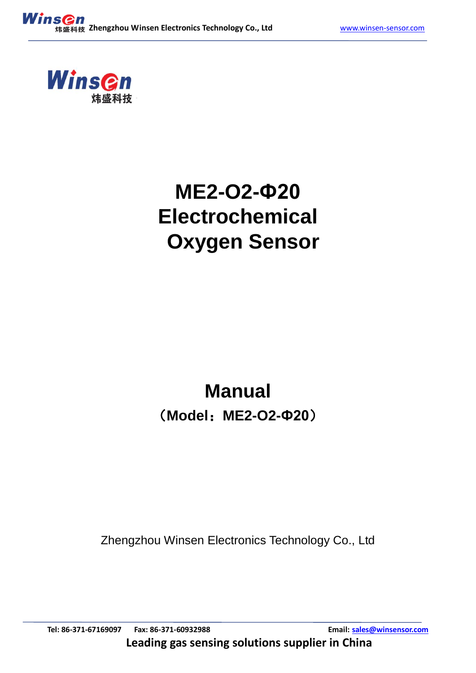

# **ME2-O2-Ф20 Electrochemical Oxygen Sensor**

# **Manual** (**Model**:**ME2-O2-Ф20**)

Zhengzhou Winsen Electronics Technology Co., Ltd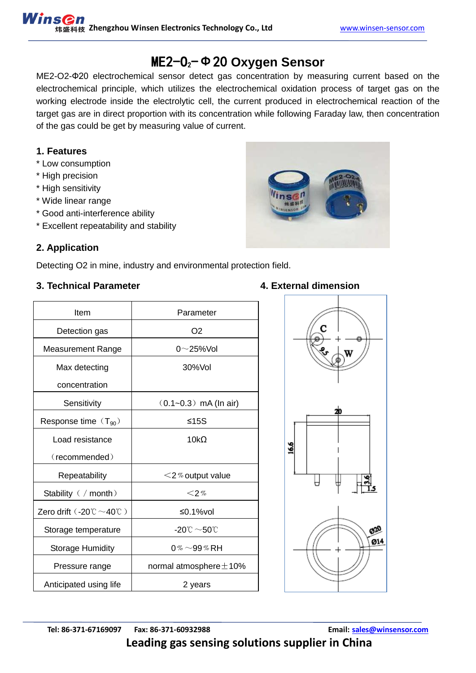## ME2-O2-Ф20 **Oxygen Sensor**

ME2-O2-Ф20 electrochemical sensor detect gas concentration by measuring current based on the electrochemical principle, which utilizes the electrochemical oxidation process of target gas on the working electrode inside the electrolytic cell, the current produced in electrochemical reaction of the target gas are in direct proportion with its concentration while following Faraday law, then concentration of the gas could be get by measuring value of current.

## **1. Features**

- \* Low consumption
- \* High precision
- \* High sensitivity
- \* Wide linear range
- \* Good anti-interference ability
- \* Excellent repeatability and stability

## **2. Application**

Detecting O2 in mine, industry and environmental protection field.

## **3. Technical Parameter 4. External dimension**

| Item                                                           | Parameter                         |
|----------------------------------------------------------------|-----------------------------------|
| Detection gas                                                  | O <sub>2</sub>                    |
| <b>Measurement Range</b>                                       | $0 \sim$ 25%Vol                   |
| Max detecting                                                  | 30%Vol                            |
| concentration                                                  |                                   |
| Sensitivity                                                    | $(0.1 - 0.3)$ mA (ln air)         |
| Response time $(T_{90})$                                       | ≤15S                              |
| Load resistance                                                | 10 $k\Omega$                      |
| (recommended)                                                  |                                   |
| Repeatability                                                  | $<$ 2% output value               |
| Stability ( / month)                                           | $<$ 2%                            |
| Zero drift $(.20^{\circ}\mathrm{C} \sim 40^{\circ}\mathrm{C})$ | ≤0.1% $vol$                       |
| Storage temperature                                            | -20 $\degree$ $\sim$ 50 $\degree$ |
| <b>Storage Humidity</b>                                        | 0% $\sim$ 99% RH                  |
| Pressure range                                                 | normal atmosphere $\pm$ 10%       |
| Anticipated using life                                         | 2 years                           |
|                                                                |                                   |



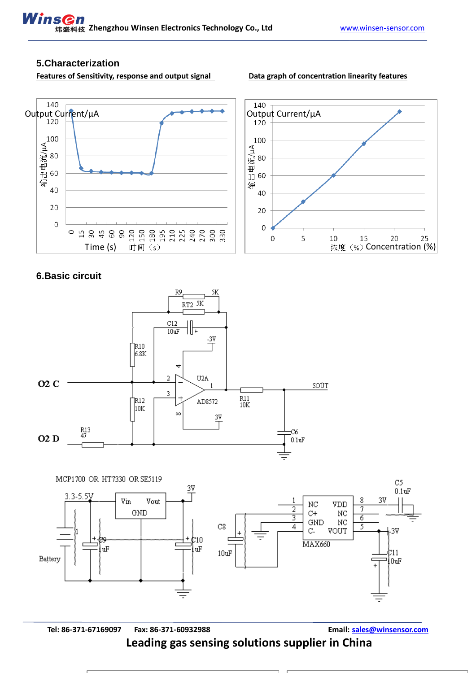## **5.Characterization**

Features of Sensitivity, response and output signal **Data graph of concentration linearity features** 



## **6.Basic circuit**





**Tel: 86-371-67169097 Fax: 86-371-60932988 Email: [sales@winsensor.com](mailto:sales@winsensor.com) Leading gas sensing solutions supplier in China**